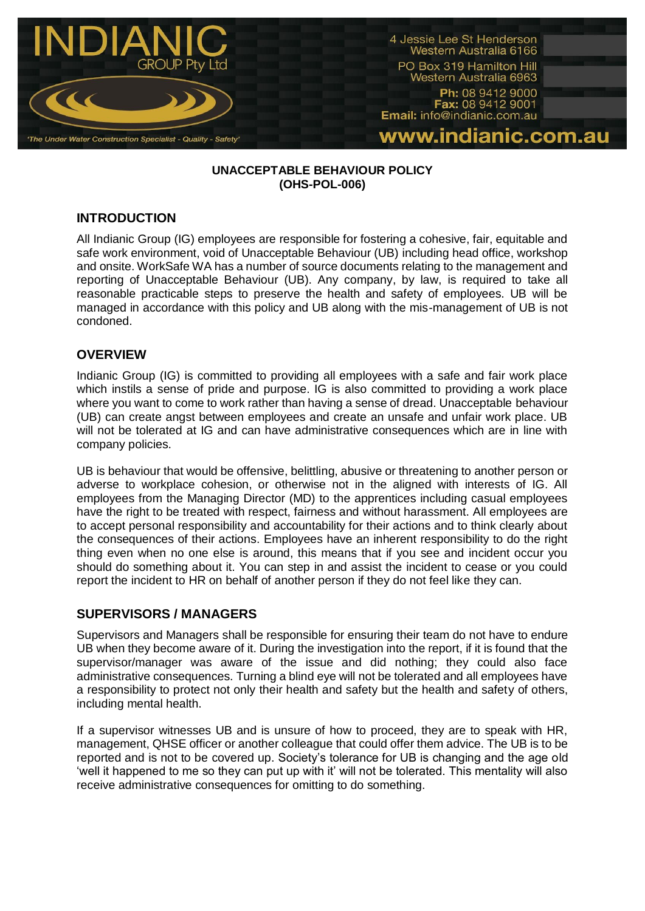

#### **UNACCEPTABLE BEHAVIOUR POLICY (OHS-POL-006)**

## **INTRODUCTION**

All Indianic Group (IG) employees are responsible for fostering a cohesive, fair, equitable and safe work environment, void of Unacceptable Behaviour (UB) including head office, workshop and onsite. WorkSafe WA has a number of source documents relating to the management and reporting of Unacceptable Behaviour (UB). Any company, by law, is required to take all reasonable practicable steps to preserve the health and safety of employees. UB will be managed in accordance with this policy and UB along with the mis-management of UB is not condoned.

### **OVERVIEW**

Indianic Group (IG) is committed to providing all employees with a safe and fair work place which instils a sense of pride and purpose. IG is also committed to providing a work place where you want to come to work rather than having a sense of dread. Unacceptable behaviour (UB) can create angst between employees and create an unsafe and unfair work place. UB will not be tolerated at IG and can have administrative consequences which are in line with company policies.

UB is behaviour that would be offensive, belittling, abusive or threatening to another person or adverse to workplace cohesion, or otherwise not in the aligned with interests of IG. All employees from the Managing Director (MD) to the apprentices including casual employees have the right to be treated with respect, fairness and without harassment. All employees are to accept personal responsibility and accountability for their actions and to think clearly about the consequences of their actions. Employees have an inherent responsibility to do the right thing even when no one else is around, this means that if you see and incident occur you should do something about it. You can step in and assist the incident to cease or you could report the incident to HR on behalf of another person if they do not feel like they can.

## **SUPERVISORS / MANAGERS**

Supervisors and Managers shall be responsible for ensuring their team do not have to endure UB when they become aware of it. During the investigation into the report, if it is found that the supervisor/manager was aware of the issue and did nothing; they could also face administrative consequences. Turning a blind eye will not be tolerated and all employees have a responsibility to protect not only their health and safety but the health and safety of others, including mental health.

If a supervisor witnesses UB and is unsure of how to proceed, they are to speak with HR, management, QHSE officer or another colleague that could offer them advice. The UB is to be reported and is not to be covered up. Society's tolerance for UB is changing and the age old 'well it happened to me so they can put up with it' will not be tolerated. This mentality will also receive administrative consequences for omitting to do something.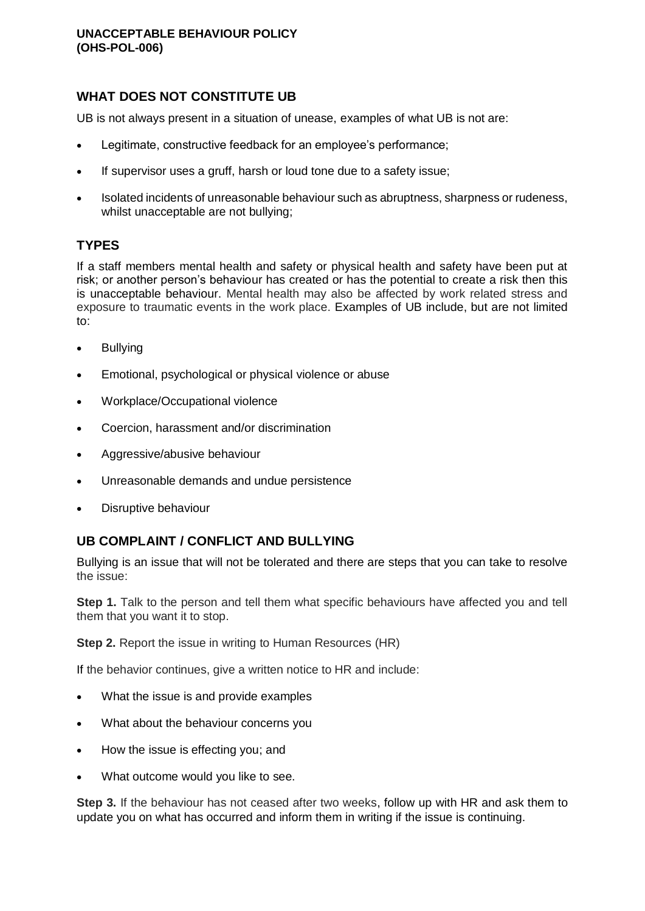# **WHAT DOES NOT CONSTITUTE UB**

UB is not always present in a situation of unease, examples of what UB is not are:

- Legitimate, constructive feedback for an employee's performance;
- If supervisor uses a gruff, harsh or loud tone due to a safety issue;
- Isolated incidents of unreasonable behaviour such as abruptness, sharpness or rudeness, whilst unacceptable are not bullying;

## **TYPES**

If a staff members mental health and safety or physical health and safety have been put at risk; or another person's behaviour has created or has the potential to create a risk then this is unacceptable behaviour. Mental health may also be affected by work related stress and exposure to traumatic events in the work place. Examples of UB include, but are not limited to:

- Bullying
- **Emotional, psychological or physical violence or abuse**
- Workplace/Occupational violence
- Coercion, harassment and/or discrimination
- Aggressive/abusive behaviour
- Unreasonable demands and undue persistence
- Disruptive behaviour

## **UB COMPLAINT / CONFLICT AND BULLYING**

Bullying is an issue that will not be tolerated and there are steps that you can take to resolve the issue:

**Step 1.** Talk to the person and tell them what specific behaviours have affected you and tell them that you want it to stop.

**Step 2.** Report the issue in writing to Human Resources (HR)

If the behavior continues, give a written notice to HR and include:

- What the issue is and provide examples
- What about the behaviour concerns you
- How the issue is effecting you; and
- What outcome would you like to see.

**Step 3.** If the behaviour has not ceased after two weeks, follow up with HR and ask them to update you on what has occurred and inform them in writing if the issue is continuing.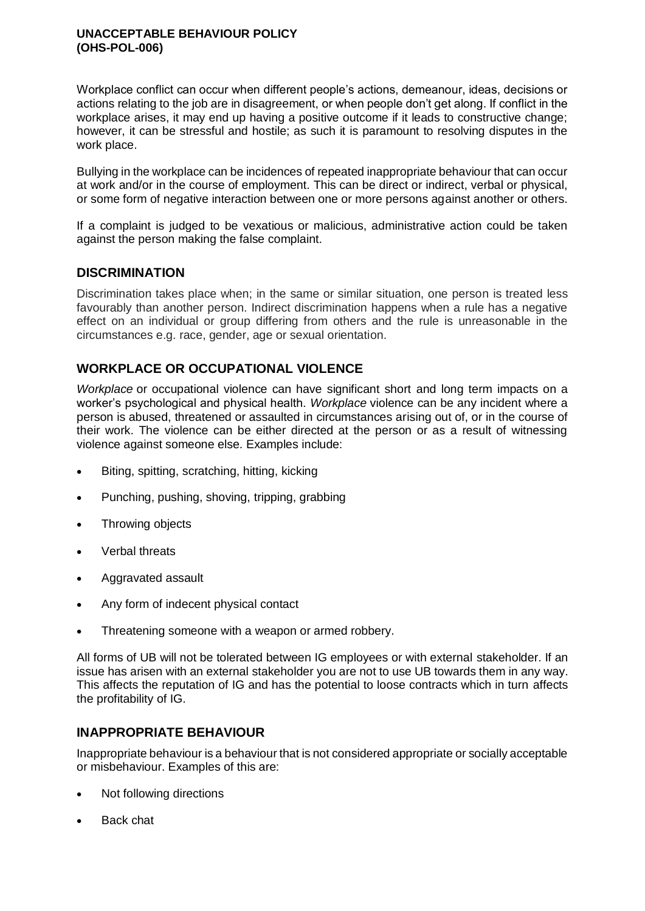#### **UNACCEPTABLE BEHAVIOUR POLICY (OHS-POL-006)**

Workplace conflict can occur when different people's actions, demeanour, ideas, decisions or actions relating to the job are in disagreement, or when people don't get along. If conflict in the workplace arises, it may end up having a positive outcome if it leads to constructive change; however, it can be stressful and hostile; as such it is paramount to resolving disputes in the work place.

Bullying in the workplace can be incidences of repeated inappropriate behaviour that can occur at work and/or in the course of employment. This can be direct or indirect, verbal or physical, or some form of negative interaction between one or more persons against another or others.

If a complaint is judged to be vexatious or malicious, administrative action could be taken against the person making the false complaint.

## **DISCRIMINATION**

Discrimination takes place when; in the same or similar situation, one person is treated less favourably than another person. Indirect discrimination happens when a rule has a negative effect on an individual or group differing from others and the rule is unreasonable in the circumstances e.g. race, gender, age or sexual orientation.

# **[WORKPLACE](https://www.safeworkaustralia.gov.au/glossary#Workplace) OR OCCUPATIONAL VIOLENCE**

*[Workplace](https://www.safeworkaustralia.gov.au/glossary#Workplace)* or occupational violence can have significant short and long term impacts on a worker's psychological and physical health. *[Workplace](https://www.safeworkaustralia.gov.au/glossary#Workplace)* violence can be any incident where a person is abused, threatened or assaulted in circumstances arising out of, or in the course of their work. The violence can be either directed at the person or as a result of witnessing violence against someone else. Examples include:

- Biting, spitting, scratching, hitting, kicking
- Punching, pushing, shoving, tripping, grabbing
- Throwing objects
- Verbal threats
- Aggravated assault
- Any form of indecent physical contact
- Threatening someone with a weapon or armed robbery.

All forms of UB will not be tolerated between IG employees or with external stakeholder. If an issue has arisen with an external stakeholder you are not to use UB towards them in any way. This affects the reputation of IG and has the potential to loose contracts which in turn affects the profitability of IG.

## **INAPPROPRIATE BEHAVIOUR**

Inappropriate behaviour is a behaviour that is not considered appropriate or socially acceptable or misbehaviour. Examples of this are:

- Not following directions
- Back chat